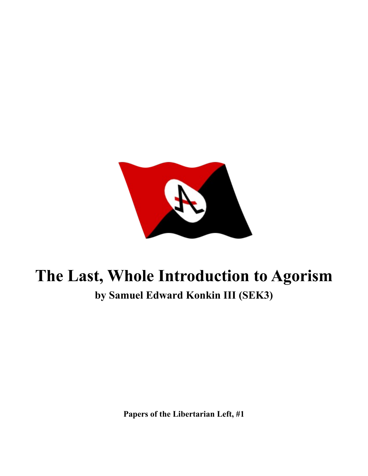

# **The Last, Whole Introduction to Agorism**

**by Samuel Edward Konkin III (SEK3)**

**Papers of the Libertarian Left, #1**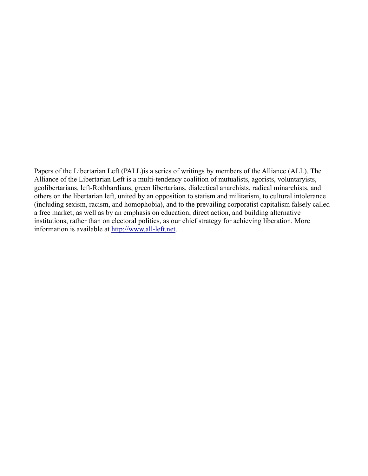Papers of the Libertarian Left (PALL)is a series of writings by members of the Alliance (ALL). The Alliance of the Libertarian Left is a multi-tendency coalition of mutualists, agorists, voluntaryists, geolibertarians, left-Rothbardians, green libertarians, dialectical anarchists, radical minarchists, and others on the libertarian left, united by an opposition to statism and militarism, to cultural intolerance (including sexism, racism, and homophobia), and to the prevailing corporatist capitalism falsely called a free market; as well as by an emphasis on education, direct action, and building alternative institutions, rather than on electoral politics, as our chief strategy for achieving liberation. More information is available at [http://www.all-left.net.](http://www.all-left.net/)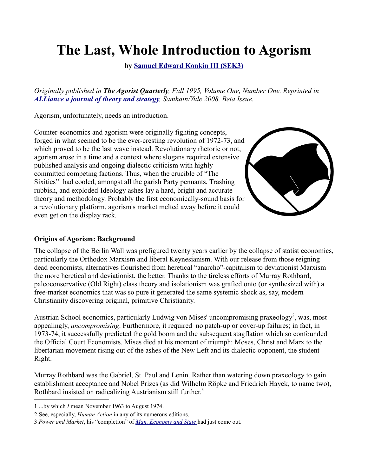# **The Last, Whole Introduction to Agorism**

**by [Samuel Edward Konkin III \(SEK3\)](http://www.agorism.info/)**

*Originally published in The Agorist Quarterly, Fall 1995, Volume One, Number One. Reprinted in [ALLiance a journal of theory and strategy](http://www.scribd.com/doc/14863420/ALLiance-a-journal-of-theory-and-strategy), Samhain/Yule 2008, Beta Issue.*

Agorism, unfortunately, needs an introduction.

Counter-economics and agorism were originally fighting concepts, forged in what seemed to be the ever-cresting revolution of 1972-73, and which proved to be the last wave instead. Revolutionary rhetoric or not, agorism arose in a time and a context where slogans required extensive published analysis and ongoing dialectic criticism with highly committed competing factions. Thus, when the crucible of "The Sixities"<sup>[1](#page-2-0)</sup> had cooled, amongst all the garish Party pennants, Trashing rubbish, and exploded-Ideology ashes lay a hard, bright and accurate theory and methodology. Probably the first economically-sound basis for a revolutionary platform, agorism's market melted away before it could even get on the display rack.

#### **Origins of Agorism: Background**

The collapse of the Berlin Wall was prefigured twenty years earlier by the collapse of statist economics, particularly the Orthodox Marxism and liberal Keynesianism. With our release from those reigning dead economists, alternatives flourished from heretical "anarcho"-capitalism to deviationist Marxism – the more heretical and deviationist, the better. Thanks to the tireless efforts of Murray Rothbard, paleoconservative (Old Right) class theory and isolationism was grafted onto (or synthesized with) a free-market economics that was so pure it generated the same systemic shock as, say, modern Christianity discovering original, primitive Christianity.

Austrian School economics, particularly Ludwig von Mises' uncompromising praxeology<sup>[2](#page-2-1)</sup>, was, most appealingly, *uncompromising*. Furthermore, it required no patch-up or cover-up failures; in fact, in 1973-74, it successfully predicted the gold boom and the subsequent stagflation which so confounded the Official Court Economists. Mises died at his moment of triumph: Moses, Christ and Marx to the libertarian movement rising out of the ashes of the New Left and its dialectic opponent, the student Right.

Murray Rothbard was the Gabriel, St. Paul and Lenin. Rather than watering down praxeology to gain establishment acceptance and Nobel Prizes (as did Wilhelm Röpke and Friedrich Hayek, to name two), Rothbard insisted on radicalizing Austrianism still further.<sup>[3](#page-2-2)</sup>

<span id="page-2-0"></span><sup>1</sup> ...by which *I* mean November 1963 to August 1974.

<span id="page-2-1"></span><sup>2</sup> See, especially, *Human Action* in any of its numerous editions.

<span id="page-2-2"></span><sup>3</sup> *Power and Market*, his "completion" of *[Man, Economy and State](http://mises.org/Books/mespm.PDF)* had just come out.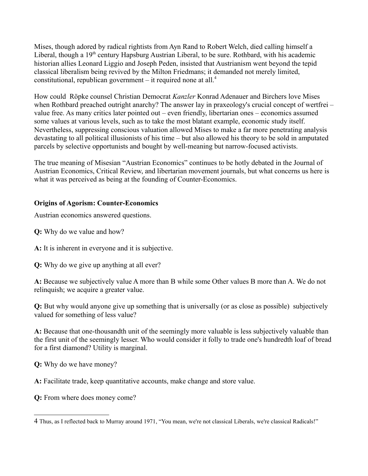Mises, though adored by radical rightists from Ayn Rand to Robert Welch, died calling himself a Liberal, though a  $19<sup>th</sup>$  century Hapsburg Austrian Liberal, to be sure. Rothbard, with his academic historian allies Leonard Liggio and Joseph Peden, insisted that Austrianism went beyond the tepid classical liberalism being revived by the Milton Friedmans; it demanded not merely limited, constitutional, republican government – it required none at all.<sup>[4](#page-3-0)</sup>

How could Röpke counsel Christian Democrat *Kanzler* Konrad Adenauer and Birchers love Mises when Rothbard preached outright anarchy? The answer lay in praxeology's crucial concept of wertfrei – value free. As many critics later pointed out – even friendly, libertarian ones – economics assumed some values at various levels, such as to take the most blatant example, economic study itself. Nevertheless, suppressing conscious valuation allowed Mises to make a far more penetrating analysis devastating to all political illusionists of his time – but also allowed his theory to be sold in amputated parcels by selective opportunists and bought by well-meaning but narrow-focused activists.

The true meaning of Misesian "Austrian Economics" continues to be hotly debated in the Journal of Austrian Economics, Critical Review, and libertarian movement journals, but what concerns us here is what it was perceived as being at the founding of Counter-Economics.

# **Origins of Agorism: Counter-Economics**

Austrian economics answered questions.

**Q:** Why do we value and how?

**A:** It is inherent in everyone and it is subjective.

**Q:** Why do we give up anything at all ever?

**A:** Because we subjectively value A more than B while some Other values B more than A. We do not relinquish; we acquire a greater value.

**Q:** But why would anyone give up something that is universally (or as close as possible) subjectively valued for something of less value?

**A:** Because that one-thousandth unit of the seemingly more valuable is less subjectively valuable than the first unit of the seemingly lesser. Who would consider it folly to trade one's hundredth loaf of bread for a first diamond? Utility is marginal.

**Q:** Why do we have money?

**A:** Facilitate trade, keep quantitative accounts, make change and store value.

**Q:** From where does money come?

<span id="page-3-0"></span><sup>4</sup> Thus, as I reflected back to Murray around 1971, "You mean, we're not classical Liberals, we're classical Radicals!"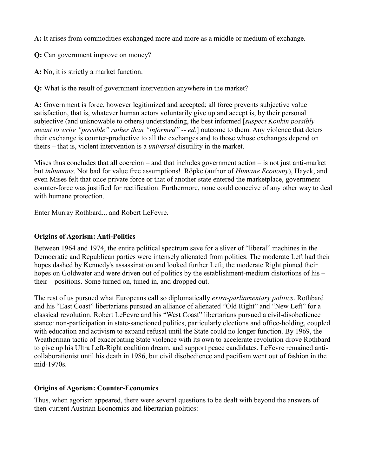**A:** It arises from commodities exchanged more and more as a middle or medium of exchange.

**Q:** Can government improve on money?

**A:** No, it is strictly a market function.

**Q:** What is the result of government intervention anywhere in the market?

**A:** Government is force, however legitimized and accepted; all force prevents subjective value satisfaction, that is, whatever human actors voluntarily give up and accept is, by their personal subjective (and unknowable to others) understanding, the best informed [*suspect Konkin possibly meant to write "possible" rather than "informed" -- ed.*] outcome to them. Any violence that deters their exchange is counter-productive to all the exchanges and to those whose exchanges depend on theirs – that is, violent intervention is a *universal* disutility in the market.

Mises thus concludes that all coercion – and that includes government action – is not just anti-market but *inhumane*. Not bad for value free assumptions! Röpke (author of *Humane Economy*), Hayek, and even Mises felt that once private force or that of another state entered the marketplace, government counter-force was justified for rectification. Furthermore, none could conceive of any other way to deal with humane protection.

Enter Murray Rothbard... and Robert LeFevre.

### **Origins of Agorism: Anti-Politics**

Between 1964 and 1974, the entire political spectrum save for a sliver of "liberal" machines in the Democratic and Republican parties were intensely alienated from politics. The moderate Left had their hopes dashed by Kennedy's assassination and looked further Left; the moderate Right pinned their hopes on Goldwater and were driven out of politics by the establishment-medium distortions of his – their – positions. Some turned on, tuned in, and dropped out.

The rest of us pursued what Europeans call so diplomatically *extra-parliamentary politics*. Rothbard and his "East Coast" libertarians pursued an alliance of alienated "Old Right" and "New Left" for a classical revolution. Robert LeFevre and his "West Coast" libertarians pursued a civil-disobedience stance: non-participation in state-sanctioned politics, particularly elections and office-holding, coupled with education and activism to expand refusal until the State could no longer function. By 1969, the Weatherman tactic of exacerbating State violence with its own to accelerate revolution drove Rothbard to give up his Ultra Left-Right coalition dream, and support peace candidates. LeFevre remained anticollaborationist until his death in 1986, but civil disobedience and pacifism went out of fashion in the mid-1970s.

# **Origins of Agorism: Counter-Economics**

Thus, when agorism appeared, there were several questions to be dealt with beyond the answers of then-current Austrian Economics and libertarian politics: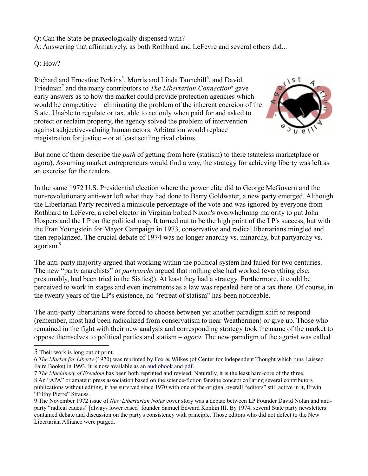Q: Can the State be praxeologically dispensed with?

A: Answering that affirmatively, as both Rothbard and LeFevre and several others did...

Q: How?

Richard and Ernestine Perkins<sup>[5](#page-5-0)</sup>, Morris and Linda Tannehill<sup>[6](#page-5-1)</sup>, and David Friedman<sup>[7](#page-5-2)</sup> and the many contributors to *The Libertarian Connection*<sup>[8](#page-5-3)</sup> gave early answers as to how the market could provide protection agencies which would be competitive – eliminating the problem of the inherent coercion of the State. Unable to regulate or tax, able to act only when paid for and asked to protect or reclaim property, the agency solved the problem of intervention against subjective-valuing human actors. Arbitration would replace magistration for justice – or at least settling rival claims.



But none of them describe the *path* of getting from here (statism) to there (stateless marketplace or agora). Assuming market entrepreneurs would find a way, the strategy for achieving liberty was left as an exercise for the readers.

In the same 1972 U.S. Presidential election where the power elite did to George McGovern and the non-revolutionary anti-war left what they had done to Barry Goldwater, a new party emerged. Although the Libertarian Party received a miniscule percentage of the vote and was ignored by everyone from Rothbard to LeFevre, a rebel elector in Virginia bolted Nixon's overwhelming majority to put John Hospers and the LP on the political map. It turned out to be the high point of the LP's success, but with the Fran Youngstein for Mayor Campaign in 1973, conservative and radical libertarians mingled and then repolarized. The crucial debate of 1974 was no longer anarchy vs. minarchy, but partyarchy vs. agorism.<sup>[9](#page-5-4)</sup>

The anti-party majority argued that working within the political system had failed for two centuries. The new "party anarchists" or *partyarchs* argued that nothing else had worked (everything else, presumably, had been tried in the Sixties)). At least they had a strategy. Furthermore, it could be perceived to work in stages and even increments as a law was repealed here or a tax there. Of course, in the twenty years of the LP's existence, no "retreat of statism" has been noticeable.

The anti-party libertarians were forced to choose between yet another paradigm shift to respond (remember, most had been radicalized from conservatism to near Weathermen) or give up. Those who remained in the fight with their new analysis and corresponding strategy took the name of the market to oppose themselves to political parties and statism – *agora*. The new paradigm of the agorist was called

<span id="page-5-3"></span><span id="page-5-2"></span>7 *The Machinery of Freedom* has been both reprinted and revised. Naturally, it is the least hard-core of the three. 8 An "APA" or amateur press association based on the science-fiction fanzine concept collating several contributors publications without editing, it has survived since 1970 with one of the original overall "editors" still active in it, Erwin "Filthy Pierre" Strauss.

<span id="page-5-0"></span><sup>5</sup> Their work is long out of print.

<span id="page-5-1"></span><sup>6</sup> *The Market for Liberty* (1970) was reprinted by Fox & Wilkes (of Center for Independent Thought which runs Laissez Faire Books) in 1993. It is now available as an [audiobook](http://freekeene.com/free-audiobook/%20) and [pdf.](http://freekeene.com/2008/02/07/the-market-for-liberty-pdf/)

<span id="page-5-4"></span><sup>9</sup> The November 1972 issue of *New Libertarian Notes* cover story was a debate between LP Founder David Nolan and antiparty "radical caucus" [always lower cased] founder Samuel Edward Konkin III. By 1974, several State party newsletters contained debate and discussion on the party's consistency with principle. Those editors who did not defect to the New Libertarian Alliance were purged.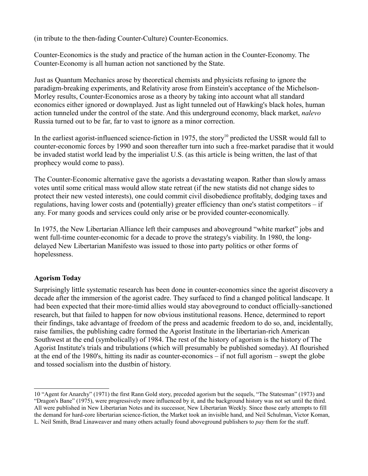(in tribute to the then-fading Counter-Culture) Counter-Economics.

Counter-Economics is the study and practice of the human action in the Counter-Economy. The Counter-Economy is all human action not sanctioned by the State.

Just as Quantum Mechanics arose by theoretical chemists and physicists refusing to ignore the paradigm-breaking experiments, and Relativity arose from Einstein's acceptance of the Michelson-Morley results, Counter-Economics arose as a theory by taking into account what all standard economics either ignored or downplayed. Just as light tunneled out of Hawking's black holes, human action tunneled under the control of the state. And this underground economy, black market, *nalevo* Russia turned out to be far, far to vast to ignore as a minor correction.

In the earliest agorist-influenced science-fiction in 1975, the story<sup>[10](#page-6-0)</sup> predicted the USSR would fall to counter-economic forces by 1990 and soon thereafter turn into such a free-market paradise that it would be invaded statist world lead by the imperialist U.S. (as this article is being written, the last of that prophecy would come to pass).

The Counter-Economic alternative gave the agorists a devastating weapon. Rather than slowly amass votes until some critical mass would allow state retreat (if the new statists did not change sides to protect their new vested interests), one could commit civil disobedience profitably, dodging taxes and regulations, having lower costs and (potentially) greater efficiency than one's statist competitors – if any. For many goods and services could only arise or be provided counter-economically.

In 1975, the New Libertarian Alliance left their campuses and aboveground "white market" jobs and went full-time counter-economic for a decade to prove the strategy's viability. In 1980, the longdelayed New Libertarian Manifesto was issued to those into party politics or other forms of hopelessness.

#### **Agorism Today**

Surprisingly little systematic research has been done in counter-economics since the agorist discovery a decade after the immersion of the agorist cadre. They surfaced to find a changed political landscape. It had been expected that their more-timid allies would stay aboveground to conduct officially-sanctioned research, but that failed to happen for now obvious institutional reasons. Hence, determined to report their findings, take advantage of freedom of the press and academic freedom to do so, and, incidentally, raise families, the publishing cadre formed the Agorist Institute in the libertarian-rich American Southwest at the end (symbolically) of 1984. The rest of the history of agorism is the history of The Agorist Institute's trials and tribulations (which will presumably be published someday). AI flourished at the end of the 1980's, hitting its nadir as counter-economics – if not full agorism – swept the globe and tossed socialism into the dustbin of history.

<span id="page-6-0"></span><sup>10 &</sup>quot;Agent for Anarchy" (1971) the first Rann Gold story, preceded agorism but the sequels, "The Statesman" (1973) and "Dragon's Bane" (1975), were progressively more influenced by it, and the background history was not set until the third. All were published in New Libertarian Notes and its successor, New Libertarian Weekly. Since those early attempts to fill the demand for hard-core libertarian science-fiction, the Market took an invisible hand, and Neil Schulman, Victor Koman, L. Neil Smith, Brad Linaweaver and many others actually found aboveground publishers to *pay* them for the stuff.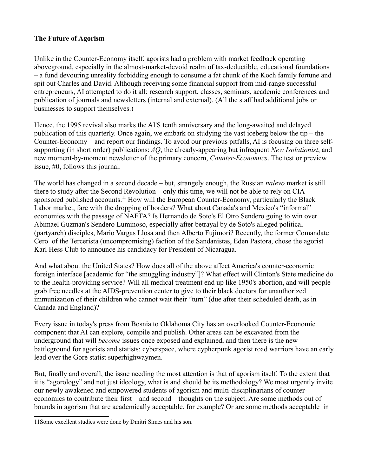#### **The Future of Agorism**

Unlike in the Counter-Economy itself, agorists had a problem with market feedback operating aboveground, especially in the almost-market-devoid realm of tax-deductible, educational foundations – a fund devouring unreality forbidding enough to consume a fat chunk of the Koch family fortune and spit out Charles and David. Although receiving some financial support from mid-range successful entrepreneurs, AI attempted to do it all: research support, classes, seminars, academic conferences and publication of journals and newsletters (internal and external). (All the staff had additional jobs or businesses to support themselves.)

Hence, the 1995 revival also marks the AI'S tenth anniversary and the long-awaited and delayed publication of this quarterly. Once again, we embark on studying the vast iceberg below the tip – the Counter-Economy – and report our findings. To avoid our previous pitfalls, AI is focusing on three selfsupporting (in short order) publications: *AQ*, the already-appearing but infrequent *New Isolationist*, and new moment-by-moment newsletter of the primary concern, *Counter-Economics*. The test or preview issue, #0, follows this journal.

The world has changed in a second decade – but, strangely enough, the Russian *nalevo* market is still there to study after the Second Revolution – only this time, we will not be able to rely on CIA-sponsored published accounts.<sup>[11](#page-7-0)</sup> How will the European Counter-Economy, particularly the Black Labor market, fare with the dropping of borders? What about Canada's and Mexico's "informal" economies with the passage of NAFTA? Is Hernando de Soto's El Otro Sendero going to win over Abimael Guzman's Sendero Luminoso, especially after betrayal by de Soto's alleged political (partyarch) disciples, Mario Vargas Llosa and then Alberto Fujimori? Recently, the former Comandate Cero of the Tercerista (uncompromising) faction of the Sandanistas, Eden Pastora, chose the agorist Karl Hess Club to announce his candidacy for President of Nicaragua.

And what about the United States? How does all of the above affect America's counter-economic foreign interface [academic for "the smuggling industry"]? What effect will Clinton's State medicine do to the health-providing service? Will all medical treatment end up like 1950's abortion, and will people grab free needles at the AIDS-prevention center to give to their black doctors for unauthorized immunization of their children who cannot wait their "turn" (due after their scheduled death, as in Canada and England)?

Every issue in today's press from Bosnia to Oklahoma City has an overlooked Counter-Economic component that AI can explore, compile and publish. Other areas can be excavated from the underground that will *become* issues once exposed and explained, and then there is the new battleground for agorists and statists: cyberspace, where cypherpunk agorist road warriors have an early lead over the Gore statist superhighwaymen.

But, finally and overall, the issue needing the most attention is that of agorism itself. To the extent that it is "agorology" and not just ideology, what is and should be its methodology? We most urgently invite our newly awakened and empowered students of agorism and multi-disciplinarians of countereconomics to contribute their first – and second – thoughts on the subject. Are some methods out of bounds in agorism that are academically acceptable, for example? Or are some methods acceptable in

<span id="page-7-0"></span><sup>11</sup>Some excellent studies were done by Dmitri Simes and his son.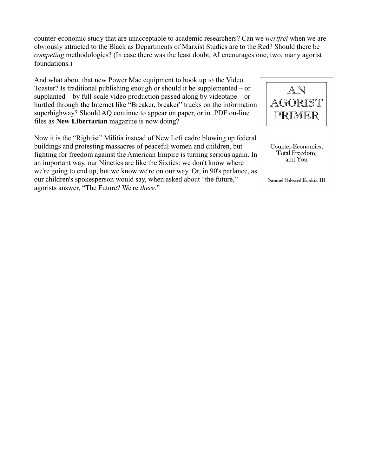counter-economic study that are unacceptable to academic researchers? Can we *wertfrei* when we are obviously attracted to the Black as Departments of Marxist Studies are to the Red? Should there be *competing* methodologies? (In case there was the least doubt, AI encourages one, two, many agorist foundations.)

And what about that new Power Mac equipment to hook up to the Video Toaster? Is traditional publishing enough or should it be supplemented – or supplanted – by full-scale video production passed along by videotape – or hurtled through the Internet like "Breaker, breaker" trucks on the information superhighway? Should AQ continue to appear on paper, or in .PDF on-line files as **New Libertarian** magazine is now doing?

Now it is the "Rightist" Militia instead of New Left cadre blowing up federal buildings and protesting massacres of peaceful women and children, but fighting for freedom against the American Empire is turning serious again. In an important way, our Nineties are like the Sixties: we don't know where we're going to end up, but we know we're on our way. Or, in 90's parlance, as our children's spokesperson would say, when asked about "the future," agorists answer, "The Future? We're *there*."

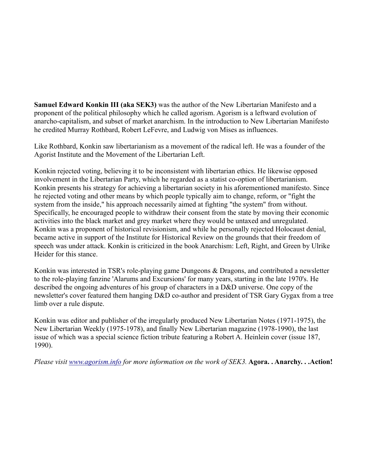**Samuel Edward Konkin III (aka SEK3)** was the author of the New Libertarian Manifesto and a proponent of the political philosophy which he called agorism. Agorism is a leftward evolution of anarcho-capitalism, and subset of market anarchism. In the introduction to New Libertarian Manifesto he credited Murray Rothbard, Robert LeFevre, and Ludwig von Mises as influences.

Like Rothbard, Konkin saw libertarianism as a movement of the radical left. He was a founder of the Agorist Institute and the Movement of the Libertarian Left.

Konkin rejected voting, believing it to be inconsistent with libertarian ethics. He likewise opposed involvement in the Libertarian Party, which he regarded as a statist co-option of libertarianism. Konkin presents his strategy for achieving a libertarian society in his aforementioned manifesto. Since he rejected voting and other means by which people typically aim to change, reform, or "fight the system from the inside," his approach necessarily aimed at fighting "the system" from without. Specifically, he encouraged people to withdraw their consent from the state by moving their economic activities into the black market and grey market where they would be untaxed and unregulated. Konkin was a proponent of historical revisionism, and while he personally rejected Holocaust denial, became active in support of the Institute for Historical Review on the grounds that their freedom of speech was under attack. Konkin is criticized in the book Anarchism: Left, Right, and Green by Ulrike Heider for this stance.

Konkin was interested in TSR's role-playing game Dungeons & Dragons, and contributed a newsletter to the role-playing fanzine 'Alarums and Excursions' for many years, starting in the late 1970's. He described the ongoing adventures of his group of characters in a D&D universe. One copy of the newsletter's cover featured them hanging D&D co-author and president of TSR Gary Gygax from a tree limb over a rule dispute.

Konkin was editor and publisher of the irregularly produced New Libertarian Notes (1971-1975), the New Libertarian Weekly (1975-1978), and finally New Libertarian magazine (1978-1990), the last issue of which was a special science fiction tribute featuring a Robert A. Heinlein cover (issue 187, 1990).

*Please visit [www.agorism.info](http://www.agorism.info/) for more information on the work of SEK3.* **Agora. . Anarchy. . .Action!**